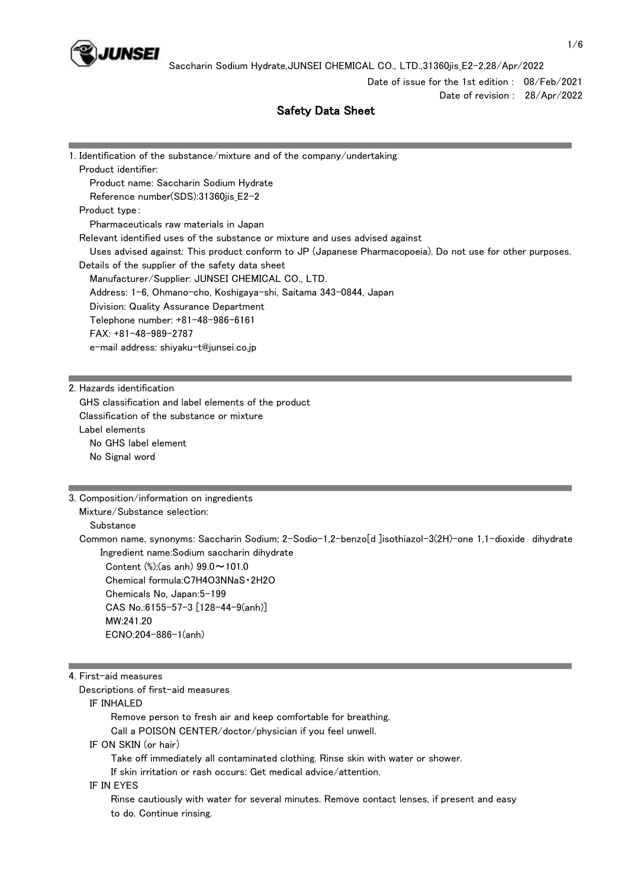

Date of issue for the 1st edition : 08/Feb/2021 Date of revision : 28/Apr/2022

# Safety Data Sheet

| 1. Identification of the substance/mixture and of the company/undertaking                                 |
|-----------------------------------------------------------------------------------------------------------|
| Product identifier:                                                                                       |
| Product name: Saccharin Sodium Hydrate                                                                    |
| Reference number(SDS):31360jis_E2-2                                                                       |
| Product type:                                                                                             |
| Pharmaceuticals raw materials in Japan                                                                    |
| Relevant identified uses of the substance or mixture and uses advised against                             |
| Uses advised against: This product conform to JP (Japanese Pharmacopoeia). Do not use for other purposes. |
| Details of the supplier of the safety data sheet                                                          |
| Manufacturer/Supplier: JUNSEI CHEMICAL CO., LTD.                                                          |
| Address: 1-6, Ohmano-cho, Koshigaya-shi, Saitama 343-0844, Japan                                          |
| Division: Quality Assurance Department                                                                    |
| Telephone number: +81-48-986-6161                                                                         |
| $FAX: +81-48-989-2787$                                                                                    |
| e-mail address: shiyaku-t@junsei.co.jp                                                                    |
|                                                                                                           |
|                                                                                                           |
| 2. Hazards identification                                                                                 |
| GHS classification and label elements of the product                                                      |
| Classification of the substance or mixture                                                                |
| Label elements                                                                                            |
| No GHS label element                                                                                      |
| No Signal word                                                                                            |
|                                                                                                           |
|                                                                                                           |
| 3. Composition/information on ingredients                                                                 |
| Mixture/Substance selection:                                                                              |
| Substance                                                                                                 |
| Common name, synonyms: Saccharin Sodium; 2-Sodio-1,2-benzo[d ]isothiazol-3(2H)-one 1,1-dioxide dihydrate  |
| Ingredient name:Sodium saccharin dihydrate                                                                |
| Content (%):(as anh) 99.0~101.0                                                                           |
| Chemical formula:C7H4O3NNaS · 2H2O                                                                        |
| Chemicals No, Japan:5-199                                                                                 |
| CAS No.:6155-57-3 [128-44-9(anh)]                                                                         |
| MW:241.20                                                                                                 |
| ECNO:204-886-1(anh)                                                                                       |

4. First-aid measures

Descriptions of first-aid measures

IF INHALED

 Remove person to fresh air and keep comfortable for breathing. Call a POISON CENTER/doctor/physician if you feel unwell. IF ON SKIN (or hair) Take off immediately all contaminated clothing. Rinse skin with water or shower. If skin irritation or rash occurs: Get medical advice/attention.

IF IN EYES

 Rinse cautiously with water for several minutes. Remove contact lenses, if present and easy to do. Continue rinsing.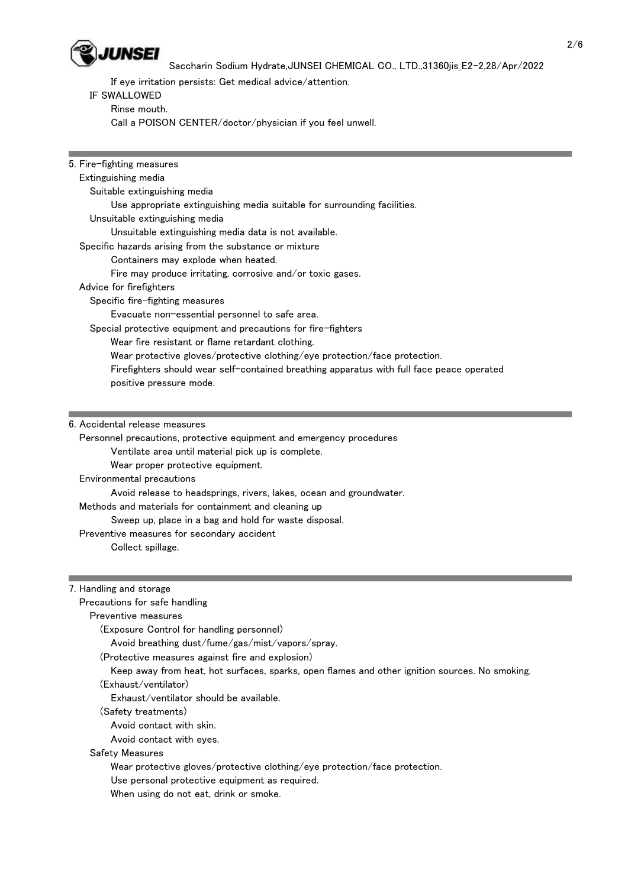

If eye irritation persists: Get medical advice/attention.

### IF SWALLOWED

Rinse mouth.

Call a POISON CENTER/doctor/physician if you feel unwell.

| 5. Fire-fighting measures                                                                      |  |
|------------------------------------------------------------------------------------------------|--|
| Extinguishing media                                                                            |  |
| Suitable extinguishing media                                                                   |  |
| Use appropriate extinguishing media suitable for surrounding facilities.                       |  |
| Unsuitable extinguishing media                                                                 |  |
| Unsuitable extinguishing media data is not available.                                          |  |
| Specific hazards arising from the substance or mixture                                         |  |
| Containers may explode when heated.                                                            |  |
| Fire may produce irritating, corrosive and/or toxic gases.                                     |  |
| Advice for firefighters                                                                        |  |
| Specific fire-fighting measures                                                                |  |
| Evacuate non-essential personnel to safe area.                                                 |  |
| Special protective equipment and precautions for fire-fighters                                 |  |
| Wear fire resistant or flame retardant clothing.                                               |  |
| Wear protective gloves/protective clothing/eye protection/face protection.                     |  |
| Firefighters should wear self-contained breathing apparatus with full face peace operated      |  |
| positive pressure mode.                                                                        |  |
|                                                                                                |  |
|                                                                                                |  |
| 6. Accidental release measures                                                                 |  |
| Personnel precautions, protective equipment and emergency procedures                           |  |
| Ventilate area until material pick up is complete.                                             |  |
| Wear proper protective equipment.                                                              |  |
| Environmental precautions                                                                      |  |
| Avoid release to headsprings, rivers, lakes, ocean and groundwater.                            |  |
| Methods and materials for containment and cleaning up                                          |  |
| Sweep up, place in a bag and hold for waste disposal.                                          |  |
| Preventive measures for secondary accident                                                     |  |
| Collect spillage.                                                                              |  |
|                                                                                                |  |
|                                                                                                |  |
| 7. Handling and storage                                                                        |  |
| Precautions for safe handling                                                                  |  |
| Preventive measures                                                                            |  |
| (Exposure Control for handling personnel)                                                      |  |
| Avoid breathing dust/fume/gas/mist/vapors/spray.                                               |  |
| (Protective measures against fire and explosion)                                               |  |
| Keep away from heat, hot surfaces, sparks, open flames and other ignition sources. No smoking. |  |
| (Exhaust/ventilator)                                                                           |  |
| Exhaust/ventilator should be available.                                                        |  |
| (Safety treatments)                                                                            |  |
| Avoid contact with skin.                                                                       |  |
| Avoid contact with eyes.                                                                       |  |
| <b>Safety Measures</b>                                                                         |  |

Wear protective gloves/protective clothing/eye protection/face protection.

Use personal protective equipment as required.

When using do not eat, drink or smoke.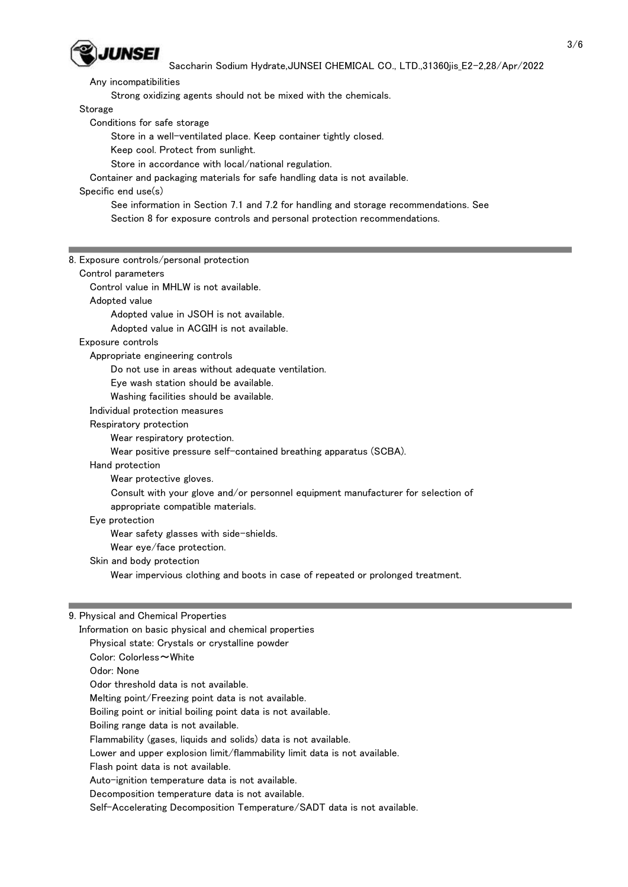

Any incompatibilities

Strong oxidizing agents should not be mixed with the chemicals.

Storage

Conditions for safe storage

Store in a well-ventilated place. Keep container tightly closed.

Keep cool. Protect from sunlight.

Store in accordance with local/national regulation.

Container and packaging materials for safe handling data is not available.

### Specific end use(s)

 See information in Section 7.1 and 7.2 for handling and storage recommendations. See Section 8 for exposure controls and personal protection recommendations.

## 8. Exposure controls/personal protection

#### Control parameters

Control value in MHLW is not available.

Adopted value

Adopted value in JSOH is not available.

Adopted value in ACGIH is not available.

#### Exposure controls

Appropriate engineering controls

Do not use in areas without adequate ventilation.

Eye wash station should be available.

Washing facilities should be available.

Individual protection measures

Respiratory protection

Wear respiratory protection.

Wear positive pressure self-contained breathing apparatus (SCBA).

#### Hand protection

Wear protective gloves.

Consult with your glove and/or personnel equipment manufacturer for selection of

appropriate compatible materials.

#### Eye protection

Wear safety glasses with side-shields.

Wear eye/face protection.

Skin and body protection

Wear impervious clothing and boots in case of repeated or prolonged treatment.

#### 9. Physical and Chemical Properties

 Information on basic physical and chemical properties Physical state: Crystals or crystalline powder

- Color: Colorless~White
- Odor: None
- Odor threshold data is not available.

Melting point/Freezing point data is not available.

Boiling point or initial boiling point data is not available.

Boiling range data is not available.

Flammability (gases, liquids and solids) data is not available.

Lower and upper explosion limit/flammability limit data is not available.

Flash point data is not available.

Auto-ignition temperature data is not available.

Decomposition temperature data is not available.

Self-Accelerating Decomposition Temperature/SADT data is not available.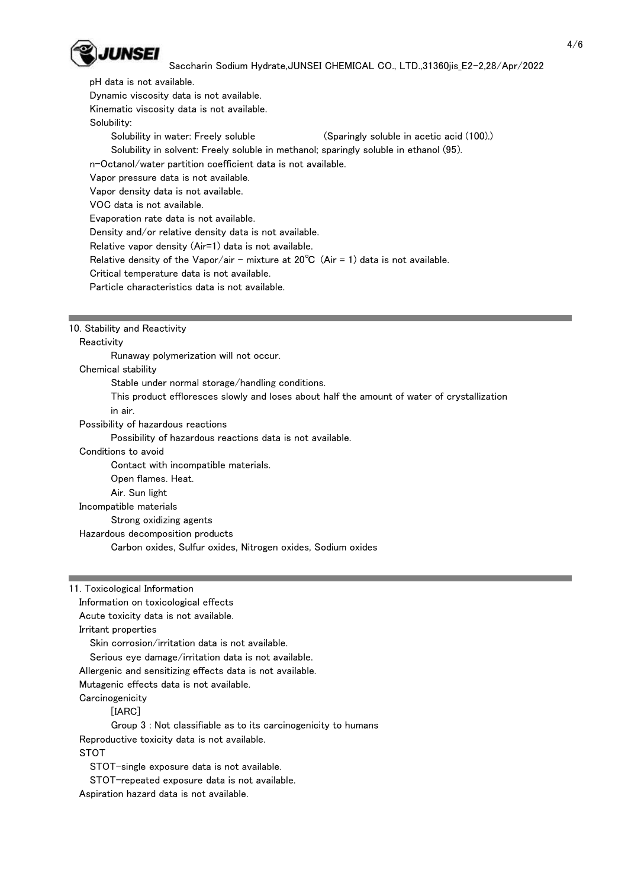

pH data is not available.

Dynamic viscosity data is not available.

Kinematic viscosity data is not available.

Solubility:

Solubility in water: Freely soluble (Sparingly soluble in acetic acid (100).)

Solubility in solvent: Freely soluble in methanol; sparingly soluble in ethanol (95).

n-Octanol/water partition coefficient data is not available.

Vapor pressure data is not available.

Vapor density data is not available.

VOC data is not available.

Evaporation rate data is not available.

Density and/or relative density data is not available.

Relative vapor density (Air=1) data is not available.

Relative density of the Vapor/air - mixture at  $20^{\circ}C$  (Air = 1) data is not available.

Critical temperature data is not available.

Particle characteristics data is not available.

10. Stability and Reactivity

**Reactivity** 

Runaway polymerization will not occur.

Chemical stability

Stable under normal storage/handling conditions.

This product effloresces slowly and loses about half the amount of water of crystallization

in air.

Possibility of hazardous reactions

Possibility of hazardous reactions data is not available.

Conditions to avoid

Contact with incompatible materials.

Open flames. Heat.

Air. Sun light

Incompatible materials

Strong oxidizing agents

Hazardous decomposition products

Carbon oxides, Sulfur oxides, Nitrogen oxides, Sodium oxides

Information on toxicological effects

Acute toxicity data is not available.

Irritant properties

Skin corrosion/irritation data is not available.

Serious eye damage/irritation data is not available.

Allergenic and sensitizing effects data is not available.

Mutagenic effects data is not available.

**Carcinogenicity** 

[IARC]

 Group 3 : Not classifiable as to its carcinogenicity to humans Reproductive toxicity data is not available.

STOT

STOT-single exposure data is not available.

STOT-repeated exposure data is not available.

Aspiration hazard data is not available.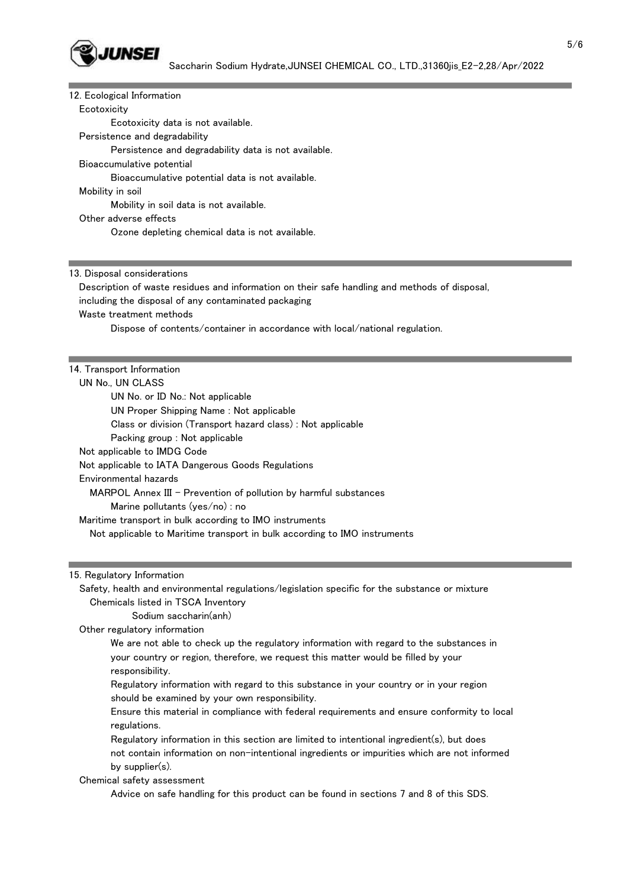

| 12. Ecological Information                                                                     |
|------------------------------------------------------------------------------------------------|
| Ecotoxicity                                                                                    |
| Ecotoxicity data is not available.                                                             |
| Persistence and degradability                                                                  |
| Persistence and degradability data is not available.                                           |
| Bioaccumulative potential                                                                      |
| Bioaccumulative potential data is not available.                                               |
| Mobility in soil                                                                               |
| Mobility in soil data is not available.                                                        |
| Other adverse effects                                                                          |
| Ozone depleting chemical data is not available.                                                |
|                                                                                                |
|                                                                                                |
| 13. Disposal considerations                                                                    |
| Description of waste residues and information on their safe handling and methods of disposal,  |
| including the disposal of any contaminated packaging                                           |
| Waste treatment methods                                                                        |
| Dispose of contents/container in accordance with local/national regulation.                    |
|                                                                                                |
|                                                                                                |
| 14. Transport Information                                                                      |
| UN No., UN CLASS                                                                               |
| UN No. or ID No.: Not applicable                                                               |
| UN Proper Shipping Name: Not applicable                                                        |
| Class or division (Transport hazard class): Not applicable                                     |
| Packing group : Not applicable                                                                 |
| Not applicable to IMDG Code                                                                    |
| Not applicable to IATA Dangerous Goods Regulations                                             |
| Environmental hazards                                                                          |
| MARPOL Annex III - Prevention of pollution by harmful substances                               |
| Marine pollutants (yes/no) : no                                                                |
| Maritime transport in bulk according to IMO instruments                                        |
| Not applicable to Maritime transport in bulk according to IMO instruments                      |
|                                                                                                |
|                                                                                                |
| 15. Regulatory Information                                                                     |
| Safety, health and environmental regulations/legislation specific for the substance or mixture |
| Chemicals listed in TSCA Inventory                                                             |
| Sodium saccharin(anh)                                                                          |
| Other regulatory information                                                                   |
| We are not able to check up the regulatory information with regard to the substances in        |
| your country or region, therefore, we request this matter would be filled by your              |
| responsibility.                                                                                |
| Regulatory information with regard to this substance in your country or in your region         |
| should be examined by your own responsibility.                                                 |
| Ensure this material in compliance with federal requirements and ensure conformity to local    |
| regulations.                                                                                   |
| Regulatory information in this section are limited to intentional ingredient(s), but does      |
| not contain information on non-intentional ingredients or impurities which are not informed    |
| by supplier(s).                                                                                |

Chemical safety assessment

Advice on safe handling for this product can be found in sections 7 and 8 of this SDS.